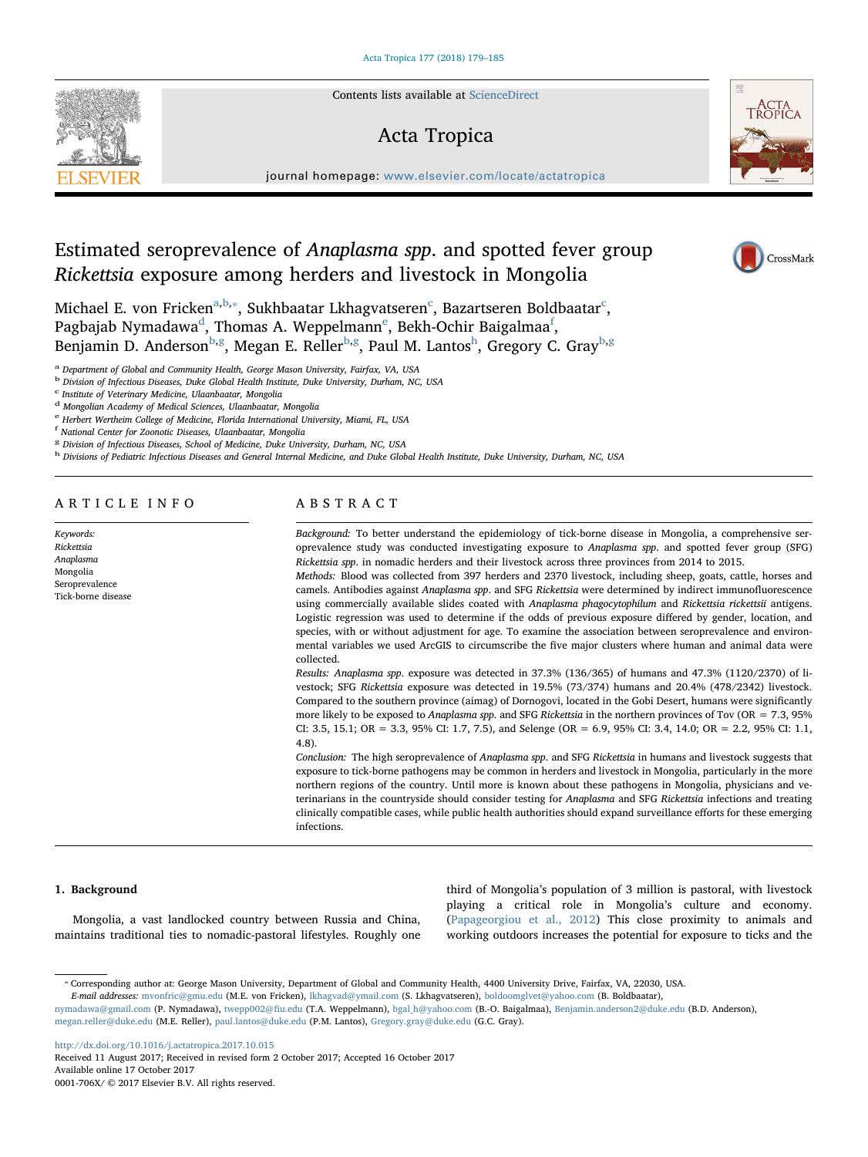Contents lists available at [ScienceDirect](http://www.sciencedirect.com/science/journal/0001706X)

## Acta Tropica

journal homepage: [www.elsevier.com/locate/actatropica](https://www.elsevier.com/locate/actatropica)

# Estimated seroprevalence of Anaplasma spp. and spotted fever group Rickettsia exposure among herders and livestock in Mongolia

Mi[c](#page-0-3)hael E. von Fricken $^{\mathrm{a,b},*}$  $^{\mathrm{a,b},*}$  $^{\mathrm{a,b},*}$  $^{\mathrm{a,b},*}$ , Sukhbaatar Lkhagvatseren $^{\mathrm{c}}$ , Bazartseren Boldbaatar $^{\mathrm{c}}$ , Pagbajab Nyma[d](#page-0-4)awa<sup>d</sup>, Thomas A. W[e](#page-0-5)ppelmann<sup>e</sup>, Bekh-Ochir Baigalmaa<sup>[f](#page-0-6)</sup>, Benjamin D. Anderson<sup>[b,](#page-0-1)[g](#page-0-7)</sup>, Megan E. Reller<sup>[b](#page-0-1)[,g](#page-0-7)</sup>, Paul M. Lantos<sup>[h](#page-0-8)</sup>, Gregory C. Gray<sup>b,g</sup>

<span id="page-0-0"></span><sup>a</sup> Department of Global and Community Health, George Mason University, Fairfax, VA, USA

<span id="page-0-1"></span><sup>b</sup> Division of Infectious Diseases, Duke Global Health Institute, Duke University, Durham, NC, USA

<span id="page-0-4"></span>

<span id="page-0-3"></span> $^{\rm c}$ Institute of Veterinary Medicine, Ulaanbaatar, Mongolia $^{\rm d}$ Mongolian Academy of Medical Sciences, Ulaanbaatar, Mongolia

<span id="page-0-6"></span>f National Center for Zoonotic Diseases, Ulaanbaatar, Mongolia

<span id="page-0-8"></span>h Divisions of Pediatric Infectious Diseases and General Internal Medicine, and Duke Global Health Institute, Duke University, Durham, NC, USA

ARTICLE INFO

Keywords: Rickettsia Anaplasma Mongolia Seroprevalence Tick-borne disease

## ABSTRACT

Background: To better understand the epidemiology of tick-borne disease in Mongolia, a comprehensive seroprevalence study was conducted investigating exposure to Anaplasma spp. and spotted fever group (SFG) Rickettsia spp. in nomadic herders and their livestock across three provinces from 2014 to 2015.

Methods: Blood was collected from 397 herders and 2370 livestock, including sheep, goats, cattle, horses and camels. Antibodies against Anaplasma spp. and SFG Rickettsia were determined by indirect immunofluorescence using commercially available slides coated with Anaplasma phagocytophilum and Rickettsia rickettsii antigens. Logistic regression was used to determine if the odds of previous exposure differed by gender, location, and species, with or without adjustment for age. To examine the association between seroprevalence and environmental variables we used ArcGIS to circumscribe the five major clusters where human and animal data were collected.

Results: Anaplasma spp. exposure was detected in 37.3% (136/365) of humans and 47.3% (1120/2370) of livestock; SFG Rickettsia exposure was detected in 19.5% (73/374) humans and 20.4% (478/2342) livestock. Compared to the southern province (aimag) of Dornogovi, located in the Gobi Desert, humans were significantly more likely to be exposed to Anaplasma spp. and SFG Rickettsia in the northern provinces of Tov (OR = 7.3, 95% CI: 3.5, 15.1; OR = 3.3, 95% CI: 1.7, 7.5), and Selenge (OR = 6.9, 95% CI: 3.4, 14.0; OR = 2.2, 95% CI: 1.1, 4.8).

Conclusion: The high seroprevalence of Anaplasma spp. and SFG Rickettsia in humans and livestock suggests that exposure to tick-borne pathogens may be common in herders and livestock in Mongolia, particularly in the more northern regions of the country. Until more is known about these pathogens in Mongolia, physicians and veterinarians in the countryside should consider testing for Anaplasma and SFG Rickettsia infections and treating clinically compatible cases, while public health authorities should expand surveillance efforts for these emerging infections.

#### 1. Background

Mongolia, a vast landlocked country between Russia and China, maintains traditional ties to nomadic-pastoral lifestyles. Roughly one third of Mongolia's population of 3 million is pastoral, with livestock playing a critical role in Mongolia's culture and economy. ([Papageorgiou et al., 2012\)](#page-6-0) This close proximity to animals and working outdoors increases the potential for exposure to ticks and the

<http://dx.doi.org/10.1016/j.actatropica.2017.10.015>

Received 11 August 2017; Received in revised form 2 October 2017; Accepted 16 October 2017 Available online 17 October 2017

0001-706X/ © 2017 Elsevier B.V. All rights reserved.







<span id="page-0-5"></span>e Herbert Wertheim College of Medicine, Florida International University, Miami, FL, USA

<span id="page-0-7"></span><sup>&</sup>lt;sup>g</sup> Division of Infectious Diseases, School of Medicine, Duke University, Durham, NC, USA

<span id="page-0-2"></span><sup>⁎</sup> Corresponding author at: George Mason University, Department of Global and Community Health, 4400 University Drive, Fairfax, VA, 22030, USA.

E-mail addresses: [mvonfric@gmu.edu](mailto:mvonfric@gmu.edu) (M.E. von Fricken), [lkhagvad@ymail.com](mailto:lkhagvad@ymail.com) (S. Lkhagvatseren), [boldoomglvet@yahoo.com](mailto:boldoomglvet@yahoo.com) (B. Boldbaatar),

[nymadawa@gmail.com](mailto:nymadawa@gmail.com) (P. Nymadawa), [twepp002@](mailto:twepp002@fiu.edu)fiu.edu (T.A. Weppelmann), [bgal\\_h@yahoo.com](mailto:bgal_h@yahoo.com) (B.-O. Baigalmaa), [Benjamin.anderson2@duke.edu](mailto:Benjamin.anderson2@duke.edu) (B.D. Anderson), [megan.reller@duke.edu](mailto:megan.reller@duke.edu) (M.E. Reller), [paul.lantos@duke.edu](mailto:paul.lantos@duke.edu) (P.M. Lantos), [Gregory.gray@duke.edu](mailto:Gregory.gray@duke.edu) (G.C. Gray).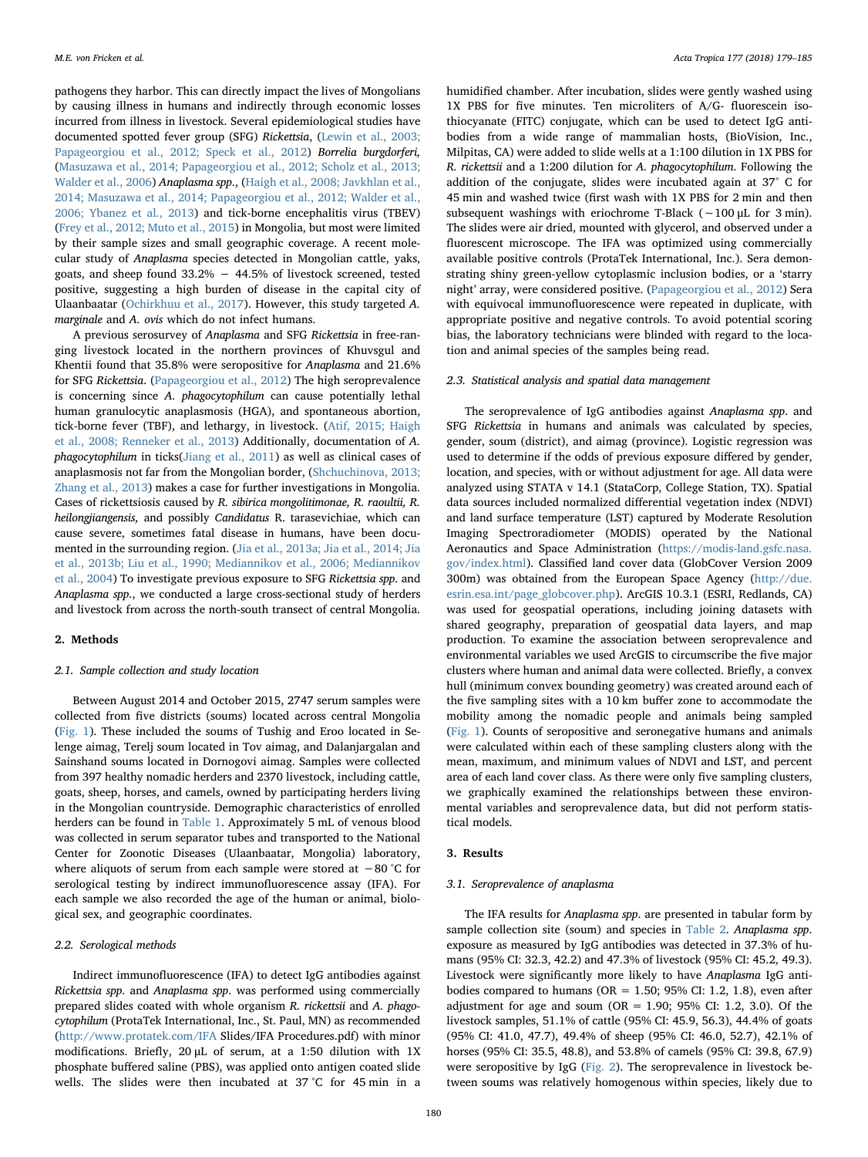pathogens they harbor. This can directly impact the lives of Mongolians by causing illness in humans and indirectly through economic losses incurred from illness in livestock. Several epidemiological studies have documented spotted fever group (SFG) Rickettsia, ([Lewin et al., 2003;](#page-6-1) [Papageorgiou et al., 2012; Speck et al., 2012\)](#page-6-1) Borrelia burgdorferi, ([Masuzawa et al., 2014; Papageorgiou et al., 2012; Scholz et al., 2013;](#page-6-2) [Walder et al., 2006](#page-6-2)) Anaplasma spp., ([Haigh et al., 2008; Javkhlan et al.,](#page-5-0) [2014; Masuzawa et al., 2014; Papageorgiou et al., 2012; Walder et al.,](#page-5-0) [2006; Ybanez et al., 2013](#page-5-0)) and tick-borne encephalitis virus (TBEV) ([Frey et al., 2012; Muto et al., 2015](#page-5-1)) in Mongolia, but most were limited by their sample sizes and small geographic coverage. A recent molecular study of Anaplasma species detected in Mongolian cattle, yaks, goats, and sheep found 33.2% − 44.5% of livestock screened, tested positive, suggesting a high burden of disease in the capital city of Ulaanbaatar [\(Ochirkhuu et al., 2017](#page-6-3)). However, this study targeted A. marginale and A. ovis which do not infect humans.

A previous serosurvey of Anaplasma and SFG Rickettsia in free-ranging livestock located in the northern provinces of Khuvsgul and Khentii found that 35.8% were seropositive for Anaplasma and 21.6% for SFG Rickettsia. [\(Papageorgiou et al., 2012\)](#page-6-0) The high seroprevalence is concerning since A. phagocytophilum can cause potentially lethal human granulocytic anaplasmosis (HGA), and spontaneous abortion, tick-borne fever (TBF), and lethargy, in livestock. [\(Atif, 2015; Haigh](#page-5-2) [et al., 2008; Renneker et al., 2013\)](#page-5-2) Additionally, documentation of A. phagocytophilum in ticks([Jiang et al., 2011\)](#page-6-4) as well as clinical cases of anaplasmosis not far from the Mongolian border, ([Shchuchinova, 2013;](#page-6-5) [Zhang et al., 2013](#page-6-5)) makes a case for further investigations in Mongolia. Cases of rickettsiosis caused by R. sibirica mongolitimonae, R. raoultii, R. heilongjiangensis, and possibly Candidatus R. tarasevichiae, which can cause severe, sometimes fatal disease in humans, have been documented in the surrounding region. ([Jia et al., 2013a; Jia et al., 2014; Jia](#page-6-6) [et al., 2013b; Liu et al., 1990; Mediannikov et al., 2006; Mediannikov](#page-6-6) [et al., 2004](#page-6-6)) To investigate previous exposure to SFG Rickettsia spp. and Anaplasma spp., we conducted a large cross-sectional study of herders and livestock from across the north-south transect of central Mongolia.

## 2. Methods

### 2.1. Sample collection and study location

Between August 2014 and October 2015, 2747 serum samples were collected from five districts (soums) located across central Mongolia ([Fig. 1](#page-2-0)). These included the soums of Tushig and Eroo located in Selenge aimag, Terelj soum located in Tov aimag, and Dalanjargalan and Sainshand soums located in Dornogovi aimag. Samples were collected from 397 healthy nomadic herders and 2370 livestock, including cattle, goats, sheep, horses, and camels, owned by participating herders living in the Mongolian countryside. Demographic characteristics of enrolled herders can be found in [Table 1.](#page-2-1) Approximately 5 mL of venous blood was collected in serum separator tubes and transported to the National Center for Zoonotic Diseases (Ulaanbaatar, Mongolia) laboratory, where aliquots of serum from each sample were stored at −80 °C for serological testing by indirect immunofluorescence assay (IFA). For each sample we also recorded the age of the human or animal, biological sex, and geographic coordinates.

#### 2.2. Serological methods

Indirect immunofluorescence (IFA) to detect IgG antibodies against Rickettsia spp. and Anaplasma spp. was performed using commercially prepared slides coated with whole organism R. rickettsii and A. phagocytophilum (ProtaTek International, Inc., St. Paul, MN) as recommended (<http://www.protatek.com/IFA> Slides/IFA Procedures.pdf) with minor modifications. Briefly, 20 μL of serum, at a 1:50 dilution with 1X phosphate buffered saline (PBS), was applied onto antigen coated slide wells. The slides were then incubated at 37 °C for 45 min in a

humidified chamber. After incubation, slides were gently washed using 1X PBS for five minutes. Ten microliters of A/G- fluorescein isothiocyanate (FITC) conjugate, which can be used to detect IgG antibodies from a wide range of mammalian hosts, (BioVision, Inc., Milpitas, CA) were added to slide wells at a 1:100 dilution in 1X PBS for R. rickettsii and a 1:200 dilution for A. phagocytophilum. Following the addition of the conjugate, slides were incubated again at 37° C for 45 min and washed twice (first wash with 1X PBS for 2 min and then subsequent washings with eriochrome T-Black (∼100 μL for 3 min). The slides were air dried, mounted with glycerol, and observed under a fluorescent microscope. The IFA was optimized using commercially available positive controls (ProtaTek International, Inc.). Sera demonstrating shiny green-yellow cytoplasmic inclusion bodies, or a 'starry night' array, were considered positive. ([Papageorgiou et al., 2012](#page-6-0)) Sera with equivocal immunofluorescence were repeated in duplicate, with appropriate positive and negative controls. To avoid potential scoring bias, the laboratory technicians were blinded with regard to the location and animal species of the samples being read.

#### 2.3. Statistical analysis and spatial data management

The seroprevalence of IgG antibodies against Anaplasma spp. and SFG Rickettsia in humans and animals was calculated by species, gender, soum (district), and aimag (province). Logistic regression was used to determine if the odds of previous exposure differed by gender, location, and species, with or without adjustment for age. All data were analyzed using STATA v 14.1 (StataCorp, College Station, TX). Spatial data sources included normalized differential vegetation index (NDVI) and land surface temperature (LST) captured by Moderate Resolution Imaging Spectroradiometer (MODIS) operated by the National Aeronautics and Space Administration ([https://modis-land.gsfc.nasa.](https://modis-land.gsfc.nasa.gov/index.html) [gov/index.html](https://modis-land.gsfc.nasa.gov/index.html)). Classified land cover data (GlobCover Version 2009 300m) was obtained from the European Space Agency ([http://due.](http://due.esrin.esa.int/page_globcover.php) [esrin.esa.int/page\\_globcover.php](http://due.esrin.esa.int/page_globcover.php)). ArcGIS 10.3.1 (ESRI, Redlands, CA) was used for geospatial operations, including joining datasets with shared geography, preparation of geospatial data layers, and map production. To examine the association between seroprevalence and environmental variables we used ArcGIS to circumscribe the five major clusters where human and animal data were collected. Briefly, a convex hull (minimum convex bounding geometry) was created around each of the five sampling sites with a 10 km buffer zone to accommodate the mobility among the nomadic people and animals being sampled ([Fig. 1](#page-2-0)). Counts of seropositive and seronegative humans and animals were calculated within each of these sampling clusters along with the mean, maximum, and minimum values of NDVI and LST, and percent area of each land cover class. As there were only five sampling clusters, we graphically examined the relationships between these environmental variables and seroprevalence data, but did not perform statistical models.

### 3. Results

#### 3.1. Seroprevalence of anaplasma

The IFA results for Anaplasma spp. are presented in tabular form by sample collection site (soum) and species in [Table 2](#page-2-2). Anaplasma spp. exposure as measured by IgG antibodies was detected in 37.3% of humans (95% CI: 32.3, 42.2) and 47.3% of livestock (95% CI: 45.2, 49.3). Livestock were significantly more likely to have Anaplasma IgG antibodies compared to humans ( $OR = 1.50$ ;  $95\%$  CI: 1.2, 1.8), even after adjustment for age and soum ( $OR = 1.90$ ;  $95\%$  CI: 1.2, 3.0). Of the livestock samples, 51.1% of cattle (95% CI: 45.9, 56.3), 44.4% of goats (95% CI: 41.0, 47.7), 49.4% of sheep (95% CI: 46.0, 52.7), 42.1% of horses (95% CI: 35.5, 48.8), and 53.8% of camels (95% CI: 39.8, 67.9) were seropositive by IgG ([Fig. 2\)](#page-3-0). The seroprevalence in livestock between soums was relatively homogenous within species, likely due to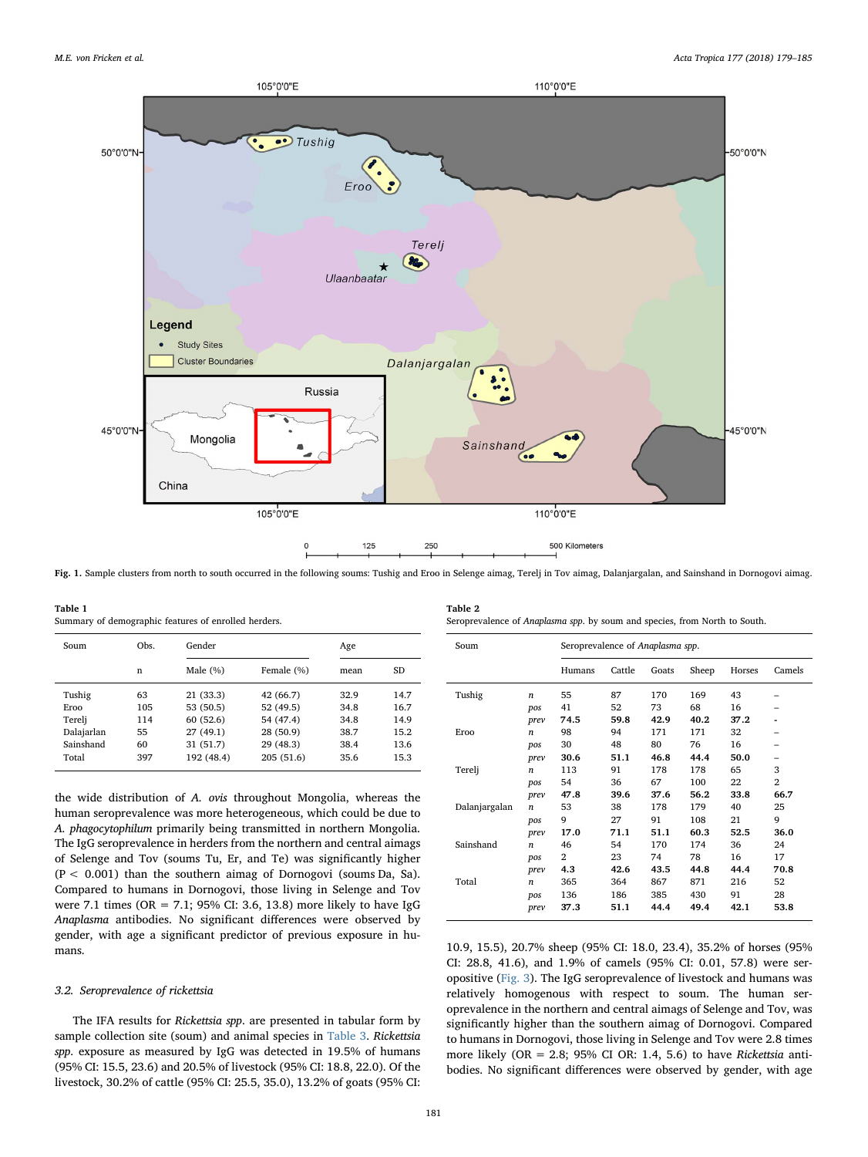<span id="page-2-0"></span>

Fig. 1. Sample clusters from north to south occurred in the following soums: Tushig and Eroo in Selenge aimag, Terelj in Tov aimag, Dalanjargalan, and Sainshand in Dornogovi aimag.

<span id="page-2-1"></span>Table 1 Summary of demographic features of enrolled herders.

| Soum       | Obs. | Gender      |            | Age  |           |
|------------|------|-------------|------------|------|-----------|
|            | n    | Male $(\%)$ | Female (%) | mean | <b>SD</b> |
| Tushig     | 63   | 21 (33.3)   | 42 (66.7)  | 32.9 | 14.7      |
| Eroo       | 105  | 53 (50.5)   | 52 (49.5)  | 34.8 | 16.7      |
| Tereli     | 114  | 60(52.6)    | 54 (47.4)  | 34.8 | 14.9      |
| Dalajarlan | 55   | 27(49.1)    | 28 (50.9)  | 38.7 | 15.2      |
| Sainshand  | 60   | 31(51.7)    | 29 (48.3)  | 38.4 | 13.6      |
| Total      | 397  | 192 (48.4)  | 205 (51.6) | 35.6 | 15.3      |

the wide distribution of A. ovis throughout Mongolia, whereas the human seroprevalence was more heterogeneous, which could be due to A. phagocytophilum primarily being transmitted in northern Mongolia. The IgG seroprevalence in herders from the northern and central aimags of Selenge and Tov (soums Tu, Er, and Te) was significantly higher  $(P < 0.001)$  than the southern aimag of Dornogovi (soums Da, Sa). Compared to humans in Dornogovi, those living in Selenge and Tov were 7.1 times (OR = 7.1; 95% CI: 3.6, 13.8) more likely to have IgG Anaplasma antibodies. No significant differences were observed by gender, with age a significant predictor of previous exposure in humans.

## 3.2. Seroprevalence of rickettsia

The IFA results for Rickettsia spp. are presented in tabular form by sample collection site (soum) and animal species in [Table 3](#page-3-1). Rickettsia spp. exposure as measured by IgG was detected in 19.5% of humans (95% CI: 15.5, 23.6) and 20.5% of livestock (95% CI: 18.8, 22.0). Of the livestock, 30.2% of cattle (95% CI: 25.5, 35.0), 13.2% of goats (95% CI:

<span id="page-2-2"></span>

| Table 2                                                                    |  |
|----------------------------------------------------------------------------|--|
| Seroprevalence of Anaplasma spp. by soum and species, from North to South. |  |

| Soum          |                  | Seroprevalence of Anaplasma spp. |        |       |       |        |                |
|---------------|------------------|----------------------------------|--------|-------|-------|--------|----------------|
|               |                  | Humans                           | Cattle | Goats | Sheep | Horses | Camels         |
| Tushig        | $\boldsymbol{n}$ | 55                               | 87     | 170   | 169   | 43     |                |
|               | pos              | 41                               | 52     | 73    | 68    | 16     |                |
|               | prev             | 74.5                             | 59.8   | 42.9  | 40.2  | 37.2   |                |
| Eroo          | $\boldsymbol{n}$ | 98                               | 94     | 171   | 171   | 32     | -              |
|               | pos              | 30                               | 48     | 80    | 76    | 16     |                |
|               | prev             | 30.6                             | 51.1   | 46.8  | 44.4  | 50.0   |                |
| Terelj        | $\boldsymbol{n}$ | 113                              | 91     | 178   | 178   | 65     | 3              |
|               | pos              | 54                               | 36     | 67    | 100   | 22     | $\overline{2}$ |
|               | prev             | 47.8                             | 39.6   | 37.6  | 56.2  | 33.8   | 66.7           |
| Dalanjargalan | $\boldsymbol{n}$ | 53                               | 38     | 178   | 179   | 40     | 25             |
|               | pos              | 9                                | 27     | 91    | 108   | 21     | 9              |
|               | prev             | 17.0                             | 71.1   | 51.1  | 60.3  | 52.5   | 36.0           |
| Sainshand     | $\boldsymbol{n}$ | 46                               | 54     | 170   | 174   | 36     | 24             |
|               | pos              | 2                                | 23     | 74    | 78    | 16     | 17             |
|               | prev             | 4.3                              | 42.6   | 43.5  | 44.8  | 44.4   | 70.8           |
| Total         | $\boldsymbol{n}$ | 365                              | 364    | 867   | 871   | 216    | 52             |
|               | pos              | 136                              | 186    | 385   | 430   | 91     | 28             |
|               | prev             | 37.3                             | 51.1   | 44.4  | 49.4  | 42.1   | 53.8           |

10.9, 15.5), 20.7% sheep (95% CI: 18.0, 23.4), 35.2% of horses (95% CI: 28.8, 41.6), and 1.9% of camels (95% CI: 0.01, 57.8) were seropositive ([Fig. 3\)](#page-4-0). The IgG seroprevalence of livestock and humans was relatively homogenous with respect to soum. The human seroprevalence in the northern and central aimags of Selenge and Tov, was significantly higher than the southern aimag of Dornogovi. Compared to humans in Dornogovi, those living in Selenge and Tov were 2.8 times more likely (OR = 2.8; 95% CI OR: 1.4, 5.6) to have Rickettsia antibodies. No significant differences were observed by gender, with age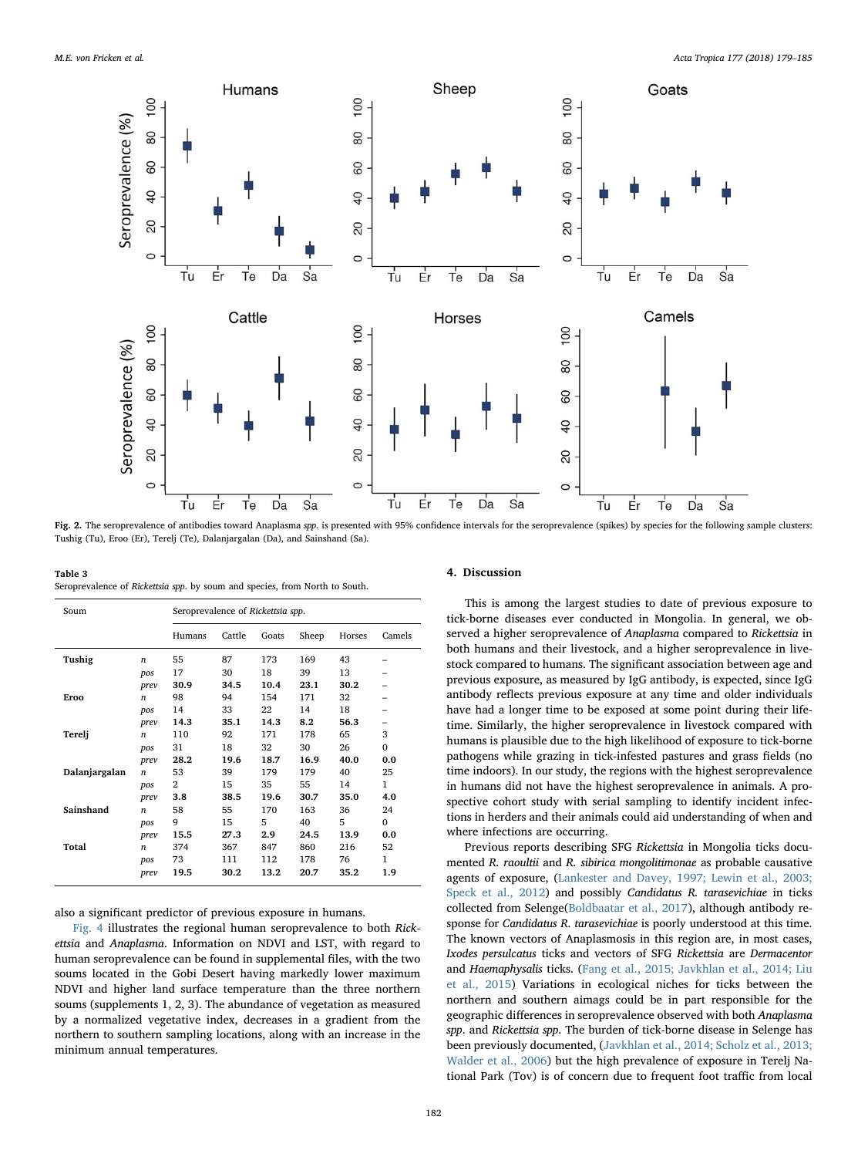<span id="page-3-0"></span>

Fig. 2. The seroprevalence of antibodies toward Anaplasma spp. is presented with 95% confidence intervals for the seroprevalence (spikes) by species for the following sample clusters: Tushig (Tu), Eroo (Er), Terelj (Te), Dalanjargalan (Da), and Sainshand (Sa).

<span id="page-3-1"></span>Table 3 Seroprevalence of Rickettsia spp. by soum and species, from North to South.

| Cattle<br>Sheep<br>Goats<br>Horses<br>Camels<br>Humans<br>Tushig<br>55<br>87<br>169<br>43<br>173<br>$\boldsymbol{n}$<br>18<br>39<br>13<br>17<br>30<br>pos<br>10.4<br>23.1<br>30.2<br>30.9<br>34.5<br>prev<br>154<br>32<br>98<br>94<br>171<br>Eroo<br>$\boldsymbol{n}$<br>14<br>33<br>14<br>18<br>22<br>pos<br>35.1<br>14.3<br>56.3<br>14.3<br>8.2<br>prev |
|-----------------------------------------------------------------------------------------------------------------------------------------------------------------------------------------------------------------------------------------------------------------------------------------------------------------------------------------------------------|
|                                                                                                                                                                                                                                                                                                                                                           |
|                                                                                                                                                                                                                                                                                                                                                           |
|                                                                                                                                                                                                                                                                                                                                                           |
|                                                                                                                                                                                                                                                                                                                                                           |
|                                                                                                                                                                                                                                                                                                                                                           |
|                                                                                                                                                                                                                                                                                                                                                           |
|                                                                                                                                                                                                                                                                                                                                                           |
| 171<br>65<br>3<br>Tereli<br>110<br>92<br>178<br>$\boldsymbol{n}$                                                                                                                                                                                                                                                                                          |
| 31<br>18<br>30<br>$\Omega$<br>32<br>26<br>pos                                                                                                                                                                                                                                                                                                             |
| 16.9<br>28.2<br>19.6<br>18.7<br>40.0<br>0.0<br>prev                                                                                                                                                                                                                                                                                                       |
| Dalanjargalan<br>53<br>40<br>39<br>179<br>179<br>25<br>$\boldsymbol{n}$                                                                                                                                                                                                                                                                                   |
| 1<br>$\overline{2}$<br>15<br>35<br>55<br>14<br>pos                                                                                                                                                                                                                                                                                                        |
| 19.6<br>3.8<br>38.5<br>30.7<br>35.0<br>4.0<br>prev                                                                                                                                                                                                                                                                                                        |
| Sainshand<br>58<br>55<br>163<br>170<br>36<br>24<br>$\boldsymbol{n}$                                                                                                                                                                                                                                                                                       |
| 5<br>9<br>5<br>15<br>40<br>$\Omega$<br>pos                                                                                                                                                                                                                                                                                                                |
| 13.9<br>15.5<br>27.3<br>2.9<br>24.5<br>0.0<br>prev                                                                                                                                                                                                                                                                                                        |
| Total<br>216<br>52<br>374<br>367<br>847<br>860<br>$\boldsymbol{n}$                                                                                                                                                                                                                                                                                        |
| 1<br>73<br>111<br>112<br>178<br>76<br>pos                                                                                                                                                                                                                                                                                                                 |
| 19.5<br>13.2<br>35.2<br>1.9<br>30.2<br>20.7<br>prev                                                                                                                                                                                                                                                                                                       |

also a significant predictor of previous exposure in humans.

[Fig. 4](#page-4-1) illustrates the regional human seroprevalence to both Rickettsia and Anaplasma. Information on NDVI and LST, with regard to human seroprevalence can be found in supplemental files, with the two soums located in the Gobi Desert having markedly lower maximum NDVI and higher land surface temperature than the three northern soums (supplements 1, 2, 3). The abundance of vegetation as measured by a normalized vegetative index, decreases in a gradient from the northern to southern sampling locations, along with an increase in the minimum annual temperatures.

#### 4. Discussion

This is among the largest studies to date of previous exposure to tick-borne diseases ever conducted in Mongolia. In general, we observed a higher seroprevalence of Anaplasma compared to Rickettsia in both humans and their livestock, and a higher seroprevalence in livestock compared to humans. The significant association between age and previous exposure, as measured by IgG antibody, is expected, since IgG antibody reflects previous exposure at any time and older individuals have had a longer time to be exposed at some point during their lifetime. Similarly, the higher seroprevalence in livestock compared with humans is plausible due to the high likelihood of exposure to tick-borne pathogens while grazing in tick-infested pastures and grass fields (no time indoors). In our study, the regions with the highest seroprevalence in humans did not have the highest seroprevalence in animals. A prospective cohort study with serial sampling to identify incident infections in herders and their animals could aid understanding of when and where infections are occurring.

Previous reports describing SFG Rickettsia in Mongolia ticks documented R. raoultii and R. sibirica mongolitimonae as probable causative agents of exposure, [\(Lankester and Davey, 1997; Lewin et al., 2003;](#page-6-7) [Speck et al., 2012](#page-6-7)) and possibly Candidatus R. tarasevichiae in ticks collected from Selenge[\(Boldbaatar et al., 2017](#page-5-3)), although antibody response for Candidatus R. tarasevichiae is poorly understood at this time. The known vectors of Anaplasmosis in this region are, in most cases, Ixodes persulcatus ticks and vectors of SFG Rickettsia are Dermacentor and Haemaphysalis ticks. ([Fang et al., 2015; Javkhlan et al., 2014; Liu](#page-5-4) [et al., 2015\)](#page-5-4) Variations in ecological niches for ticks between the northern and southern aimags could be in part responsible for the geographic differences in seroprevalence observed with both Anaplasma spp. and Rickettsia spp. The burden of tick-borne disease in Selenge has been previously documented, [\(Javkhlan et al., 2014; Scholz et al., 2013;](#page-5-5) [Walder et al., 2006](#page-5-5)) but the high prevalence of exposure in Terelj National Park (Tov) is of concern due to frequent foot traffic from local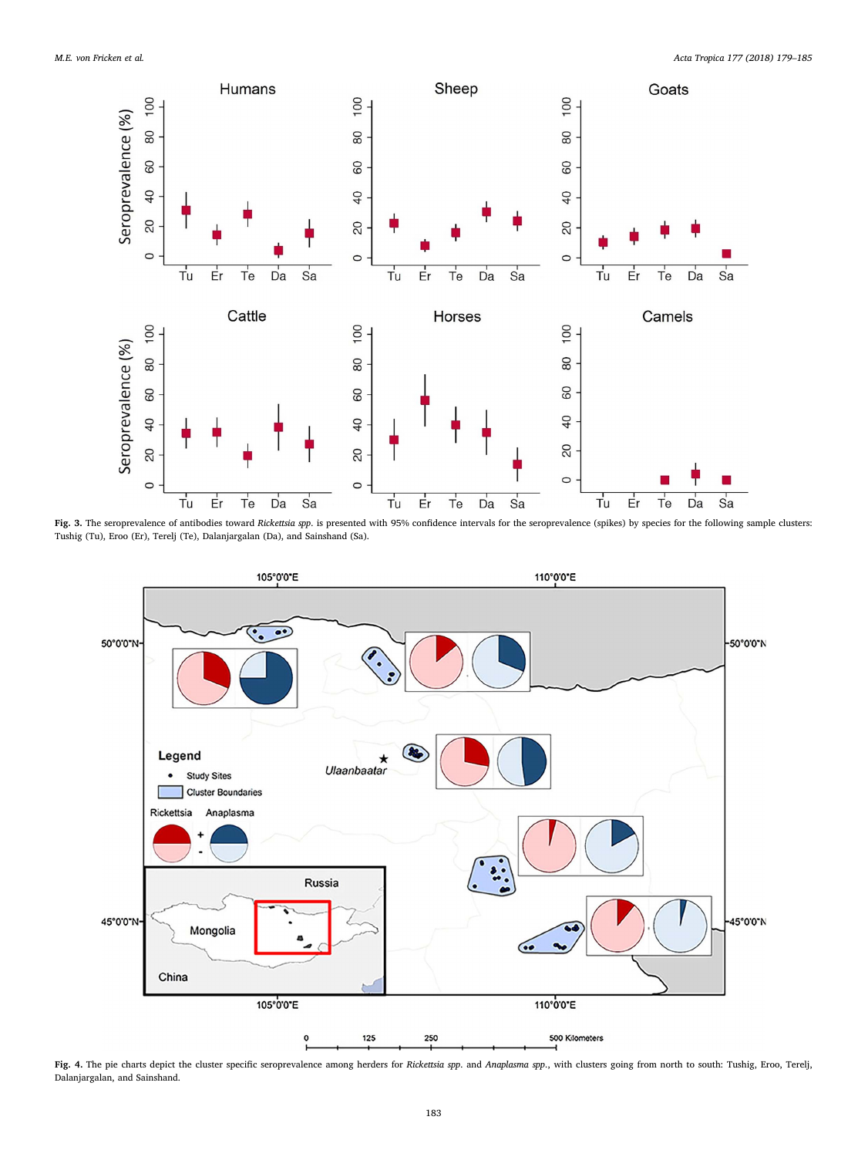<span id="page-4-0"></span>

Fig. 3. The seroprevalence of antibodies toward Rickettsia spp. is presented with 95% confidence intervals for the seroprevalence (spikes) by species for the following sample clusters: Tushig (Tu), Eroo (Er), Terelj (Te), Dalanjargalan (Da), and Sainshand (Sa).

<span id="page-4-1"></span>

Fig. 4. The pie charts depict the cluster specific seroprevalence among herders for Rickettsia spp. and Anaplasma spp., with clusters going from north to south: Tushig, Eroo, Terelj, Dalanjargalan, and Sainshand.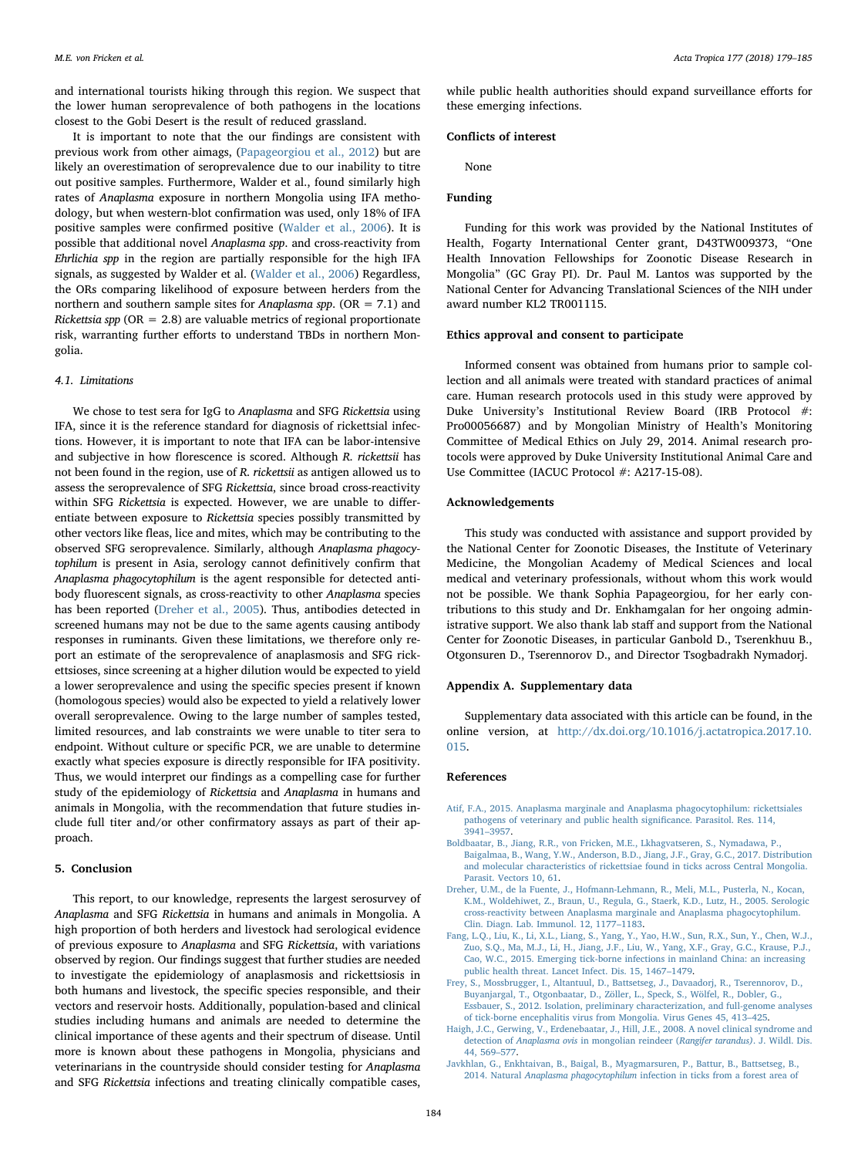and international tourists hiking through this region. We suspect that the lower human seroprevalence of both pathogens in the locations closest to the Gobi Desert is the result of reduced grassland.

It is important to note that the our findings are consistent with previous work from other aimags, [\(Papageorgiou et al., 2012](#page-6-0)) but are likely an overestimation of seroprevalence due to our inability to titre out positive samples. Furthermore, Walder et al., found similarly high rates of Anaplasma exposure in northern Mongolia using IFA methodology, but when western-blot confirmation was used, only 18% of IFA positive samples were confirmed positive [\(Walder et al., 2006\)](#page-6-8). It is possible that additional novel Anaplasma spp. and cross-reactivity from Ehrlichia spp in the region are partially responsible for the high IFA signals, as suggested by Walder et al. [\(Walder et al., 2006](#page-6-8)) Regardless, the ORs comparing likelihood of exposure between herders from the northern and southern sample sites for Anaplasma spp. ( $OR = 7.1$ ) and Rickettsia spp ( $OR = 2.8$ ) are valuable metrics of regional proportionate risk, warranting further efforts to understand TBDs in northern Mongolia.

#### 4.1. Limitations

We chose to test sera for IgG to Anaplasma and SFG Rickettsia using IFA, since it is the reference standard for diagnosis of rickettsial infections. However, it is important to note that IFA can be labor-intensive and subjective in how florescence is scored. Although R. rickettsii has not been found in the region, use of R. rickettsii as antigen allowed us to assess the seroprevalence of SFG Rickettsia, since broad cross-reactivity within SFG Rickettsia is expected. However, we are unable to differentiate between exposure to Rickettsia species possibly transmitted by other vectors like fleas, lice and mites, which may be contributing to the observed SFG seroprevalence. Similarly, although Anaplasma phagocytophilum is present in Asia, serology cannot definitively confirm that Anaplasma phagocytophilum is the agent responsible for detected antibody fluorescent signals, as cross-reactivity to other Anaplasma species has been reported ([Dreher et al., 2005](#page-5-6)). Thus, antibodies detected in screened humans may not be due to the same agents causing antibody responses in ruminants. Given these limitations, we therefore only report an estimate of the seroprevalence of anaplasmosis and SFG rickettsioses, since screening at a higher dilution would be expected to yield a lower seroprevalence and using the specific species present if known (homologous species) would also be expected to yield a relatively lower overall seroprevalence. Owing to the large number of samples tested, limited resources, and lab constraints we were unable to titer sera to endpoint. Without culture or specific PCR, we are unable to determine exactly what species exposure is directly responsible for IFA positivity. Thus, we would interpret our findings as a compelling case for further study of the epidemiology of Rickettsia and Anaplasma in humans and animals in Mongolia, with the recommendation that future studies include full titer and/or other confirmatory assays as part of their approach.

### 5. Conclusion

This report, to our knowledge, represents the largest serosurvey of Anaplasma and SFG Rickettsia in humans and animals in Mongolia. A high proportion of both herders and livestock had serological evidence of previous exposure to Anaplasma and SFG Rickettsia, with variations observed by region. Our findings suggest that further studies are needed to investigate the epidemiology of anaplasmosis and rickettsiosis in both humans and livestock, the specific species responsible, and their vectors and reservoir hosts. Additionally, population-based and clinical studies including humans and animals are needed to determine the clinical importance of these agents and their spectrum of disease. Until more is known about these pathogens in Mongolia, physicians and veterinarians in the countryside should consider testing for Anaplasma and SFG Rickettsia infections and treating clinically compatible cases,

while public health authorities should expand surveillance efforts for these emerging infections.

## Conflicts of interest

None

## Funding

Funding for this work was provided by the National Institutes of Health, Fogarty International Center grant, D43TW009373, "One Health Innovation Fellowships for Zoonotic Disease Research in Mongolia" (GC Gray PI). Dr. Paul M. Lantos was supported by the National Center for Advancing Translational Sciences of the NIH under award number KL2 TR001115.

## Ethics approval and consent to participate

Informed consent was obtained from humans prior to sample collection and all animals were treated with standard practices of animal care. Human research protocols used in this study were approved by Duke University's Institutional Review Board (IRB Protocol #: Pro00056687) and by Mongolian Ministry of Health's Monitoring Committee of Medical Ethics on July 29, 2014. Animal research protocols were approved by Duke University Institutional Animal Care and Use Committee (IACUC Protocol #: A217-15-08).

#### Acknowledgements

This study was conducted with assistance and support provided by the National Center for Zoonotic Diseases, the Institute of Veterinary Medicine, the Mongolian Academy of Medical Sciences and local medical and veterinary professionals, without whom this work would not be possible. We thank Sophia Papageorgiou, for her early contributions to this study and Dr. Enkhamgalan for her ongoing administrative support. We also thank lab staff and support from the National Center for Zoonotic Diseases, in particular Ganbold D., Tserenkhuu B., Otgonsuren D., Tserennorov D., and Director Tsogbadrakh Nymadorj.

#### Appendix A. Supplementary data

Supplementary data associated with this article can be found, in the online version, at [http://dx.doi.org/10.1016/j.actatropica.2017.10.](http://dx.doi.org/10.1016/j.actatropica.2017.10.015) [015](http://dx.doi.org/10.1016/j.actatropica.2017.10.015).

#### References

- <span id="page-5-2"></span>[Atif, F.A., 2015. Anaplasma marginale and Anaplasma phagocytophilum: rickettsiales](http://refhub.elsevier.com/S0001-706X(17)30971-3/sbref0005) [pathogens of veterinary and public health signi](http://refhub.elsevier.com/S0001-706X(17)30971-3/sbref0005)ficance. Parasitol. Res. 114, 3941–[3957](http://refhub.elsevier.com/S0001-706X(17)30971-3/sbref0005).
- <span id="page-5-3"></span>[Boldbaatar, B., Jiang, R.R., von Fricken, M.E., Lkhagvatseren, S., Nymadawa, P.,](http://refhub.elsevier.com/S0001-706X(17)30971-3/sbref0010) [Baigalmaa, B., Wang, Y.W., Anderson, B.D., Jiang, J.F., Gray, G.C., 2017. Distribution](http://refhub.elsevier.com/S0001-706X(17)30971-3/sbref0010) [and molecular characteristics of rickettsiae found in ticks across Central Mongolia.](http://refhub.elsevier.com/S0001-706X(17)30971-3/sbref0010) [Parasit. Vectors 10, 61](http://refhub.elsevier.com/S0001-706X(17)30971-3/sbref0010).
- <span id="page-5-6"></span>[Dreher, U.M., de la Fuente, J., Hofmann-Lehmann, R., Meli, M.L., Pusterla, N., Kocan,](http://refhub.elsevier.com/S0001-706X(17)30971-3/sbref0015) [K.M., Woldehiwet, Z., Braun, U., Regula, G., Staerk, K.D., Lutz, H., 2005. Serologic](http://refhub.elsevier.com/S0001-706X(17)30971-3/sbref0015) [cross-reactivity between Anaplasma marginale and Anaplasma phagocytophilum.](http://refhub.elsevier.com/S0001-706X(17)30971-3/sbref0015) [Clin. Diagn. Lab. Immunol. 12, 1177](http://refhub.elsevier.com/S0001-706X(17)30971-3/sbref0015)–1183.
- <span id="page-5-4"></span>[Fang, L.Q., Liu, K., Li, X.L., Liang, S., Yang, Y., Yao, H.W., Sun, R.X., Sun, Y., Chen, W.J.,](http://refhub.elsevier.com/S0001-706X(17)30971-3/sbref0020) [Zuo, S.Q., Ma, M.J., Li, H., Jiang, J.F., Liu, W., Yang, X.F., Gray, G.C., Krause, P.J.,](http://refhub.elsevier.com/S0001-706X(17)30971-3/sbref0020) [Cao, W.C., 2015. Emerging tick-borne infections in mainland China: an increasing](http://refhub.elsevier.com/S0001-706X(17)30971-3/sbref0020) [public health threat. Lancet Infect. Dis. 15, 1467](http://refhub.elsevier.com/S0001-706X(17)30971-3/sbref0020)–1479.
- <span id="page-5-1"></span>[Frey, S., Mossbrugger, I., Altantuul, D., Battsetseg, J., Davaadorj, R., Tserennorov, D.,](http://refhub.elsevier.com/S0001-706X(17)30971-3/sbref0025) [Buyanjargal, T., Otgonbaatar, D., Zöller, L., Speck, S., Wölfel, R., Dobler, G.,](http://refhub.elsevier.com/S0001-706X(17)30971-3/sbref0025) [Essbauer, S., 2012. Isolation, preliminary characterization, and full-genome analyses](http://refhub.elsevier.com/S0001-706X(17)30971-3/sbref0025) [of tick-borne encephalitis virus from Mongolia. Virus Genes 45, 413](http://refhub.elsevier.com/S0001-706X(17)30971-3/sbref0025)–425.
- <span id="page-5-0"></span>[Haigh, J.C., Gerwing, V., Erdenebaatar, J., Hill, J.E., 2008. A novel clinical syndrome and](http://refhub.elsevier.com/S0001-706X(17)30971-3/sbref0030) detection of Anaplasma ovis [in mongolian reindeer \(](http://refhub.elsevier.com/S0001-706X(17)30971-3/sbref0030)Rangifer tarandus). J. Wildl. Dis. [44, 569](http://refhub.elsevier.com/S0001-706X(17)30971-3/sbref0030)–577.
- <span id="page-5-5"></span>[Javkhlan, G., Enkhtaivan, B., Baigal, B., Myagmarsuren, P., Battur, B., Battsetseg, B.,](http://refhub.elsevier.com/S0001-706X(17)30971-3/sbref0035) 2014. Natural Anaplasma phagocytophilum [infection in ticks from a forest area of](http://refhub.elsevier.com/S0001-706X(17)30971-3/sbref0035)